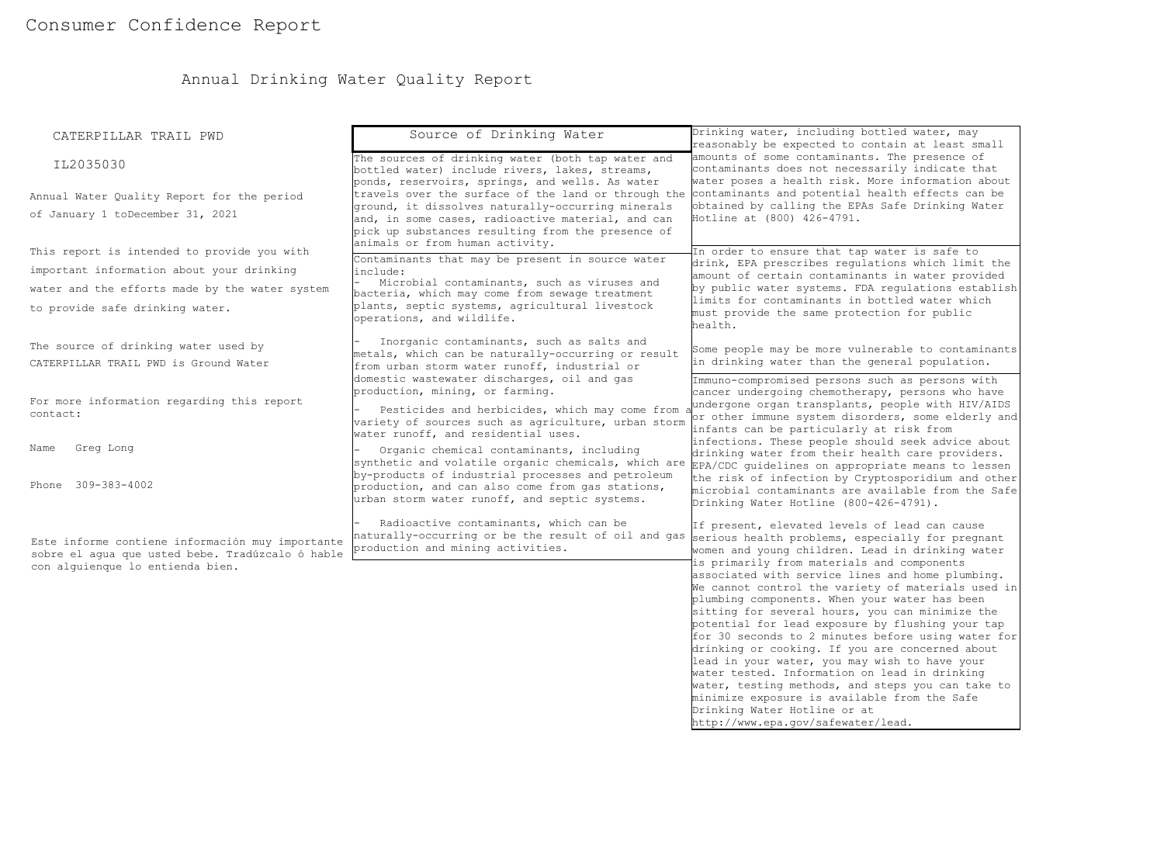# Annual Drinking Water Quality Report

| CATERPILLAR TRAIL PWD                                                                                                                                                         | Source of Drinking Water                                                                                                                                                                                                                                                                         | Drinking water, including bottled water, may<br>reasonably be expected to contain at least small                                                                                                                                                                                                                                                                                                                                                                                                                                                                                                                                                     |
|-------------------------------------------------------------------------------------------------------------------------------------------------------------------------------|--------------------------------------------------------------------------------------------------------------------------------------------------------------------------------------------------------------------------------------------------------------------------------------------------|------------------------------------------------------------------------------------------------------------------------------------------------------------------------------------------------------------------------------------------------------------------------------------------------------------------------------------------------------------------------------------------------------------------------------------------------------------------------------------------------------------------------------------------------------------------------------------------------------------------------------------------------------|
| IL2035030                                                                                                                                                                     | The sources of drinking water (both tap water and<br>bottled water) include rivers, lakes, streams,<br>ponds, reservoirs, springs, and wells. As water                                                                                                                                           | amounts of some contaminants. The presence of<br>contaminants does not necessarily indicate that<br>water poses a health risk. More information about                                                                                                                                                                                                                                                                                                                                                                                                                                                                                                |
| Annual Water Quality Report for the period<br>of January 1 toDecember 31, 2021                                                                                                | travels over the surface of the land or through the contaminants and potential health effects can be<br>ground, it dissolves naturally-occurring minerals<br>and, in some cases, radioactive material, and can<br>pick up substances resulting from the presence of                              | obtained by calling the EPAs Safe Drinking Water<br>Hotline at (800) 426-4791.                                                                                                                                                                                                                                                                                                                                                                                                                                                                                                                                                                       |
| This report is intended to provide you with<br>important information about your drinking<br>water and the efforts made by the water system<br>to provide safe drinking water. | animals or from human activity.<br>Contaminants that may be present in source water<br>include:<br>Microbial contaminants, such as viruses and<br>bacteria, which may come from sewage treatment<br>plants, septic systems, agricultural livestock<br>operations, and wildlife.                  | In order to ensure that tap water is safe to<br>drink, EPA prescribes regulations which limit the<br>amount of certain contaminants in water provided<br>by public water systems. FDA requlations establish<br>limits for contaminants in bottled water which<br>must provide the same protection for public<br>health.                                                                                                                                                                                                                                                                                                                              |
| The source of drinking water used by<br>CATERPILLAR TRAIL PWD is Ground Water                                                                                                 | Inorganic contaminants, such as salts and<br>metals, which can be naturally-occurring or result<br>from urban storm water runoff, industrial or                                                                                                                                                  | Some people may be more vulnerable to contaminants<br>in drinking water than the general population.                                                                                                                                                                                                                                                                                                                                                                                                                                                                                                                                                 |
| For more information regarding this report<br>contact:                                                                                                                        | domestic wastewater discharges, oil and gas<br>production, mining, or farming.<br>Pesticides and herbicides, which may come from<br>variety of sources such as agriculture, urban storm                                                                                                          | Immuno-compromised persons such as persons with<br>cancer undergoing chemotherapy, persons who have<br>undergone organ transplants, people with HIV/AIDS<br>or other immune system disorders, some elderly and<br>infants can be particularly at risk from                                                                                                                                                                                                                                                                                                                                                                                           |
| Greg Long<br>Name<br>Phone 309-383-4002                                                                                                                                       | water runoff, and residential uses.<br>Organic chemical contaminants, including<br>synthetic and volatile organic chemicals, which are<br>by-products of industrial processes and petroleum<br>production, and can also come from gas stations,<br>urban storm water runoff, and septic systems. | infections. These people should seek advice about<br>drinking water from their health care providers.<br>EPA/CDC guidelines on appropriate means to lessen<br>the risk of infection by Cryptosporidium and other<br>microbial contaminants are available from the Safe                                                                                                                                                                                                                                                                                                                                                                               |
| Este informe contiene información muy importante<br>sobre el aqua que usted bebe. Tradúzcalo ó hable                                                                          | Radioactive contaminants, which can be<br>naturally-occurring or be the result of oil and gas<br>production and mining activities.                                                                                                                                                               | Drinking Water Hotline (800-426-4791).<br>If present, elevated levels of lead can cause<br>serious health problems, especially for pregnant<br>women and young children. Lead in drinking water<br>is primarily from materials and components                                                                                                                                                                                                                                                                                                                                                                                                        |
| con alquienque lo entienda bien.                                                                                                                                              |                                                                                                                                                                                                                                                                                                  | associated with service lines and home plumbing.<br>We cannot control the variety of materials used in<br>plumbing components. When your water has been<br>sitting for several hours, you can minimize the<br>potential for lead exposure by flushing your tap<br>for 30 seconds to 2 minutes before using water for<br>drinking or cooking. If you are concerned about<br>lead in your water, you may wish to have your<br>water tested. Information on lead in drinking<br>water, testing methods, and steps you can take to<br>minimize exposure is available from the Safe<br>Drinking Water Hotline or at<br>http://www.epa.gov/safewater/lead. |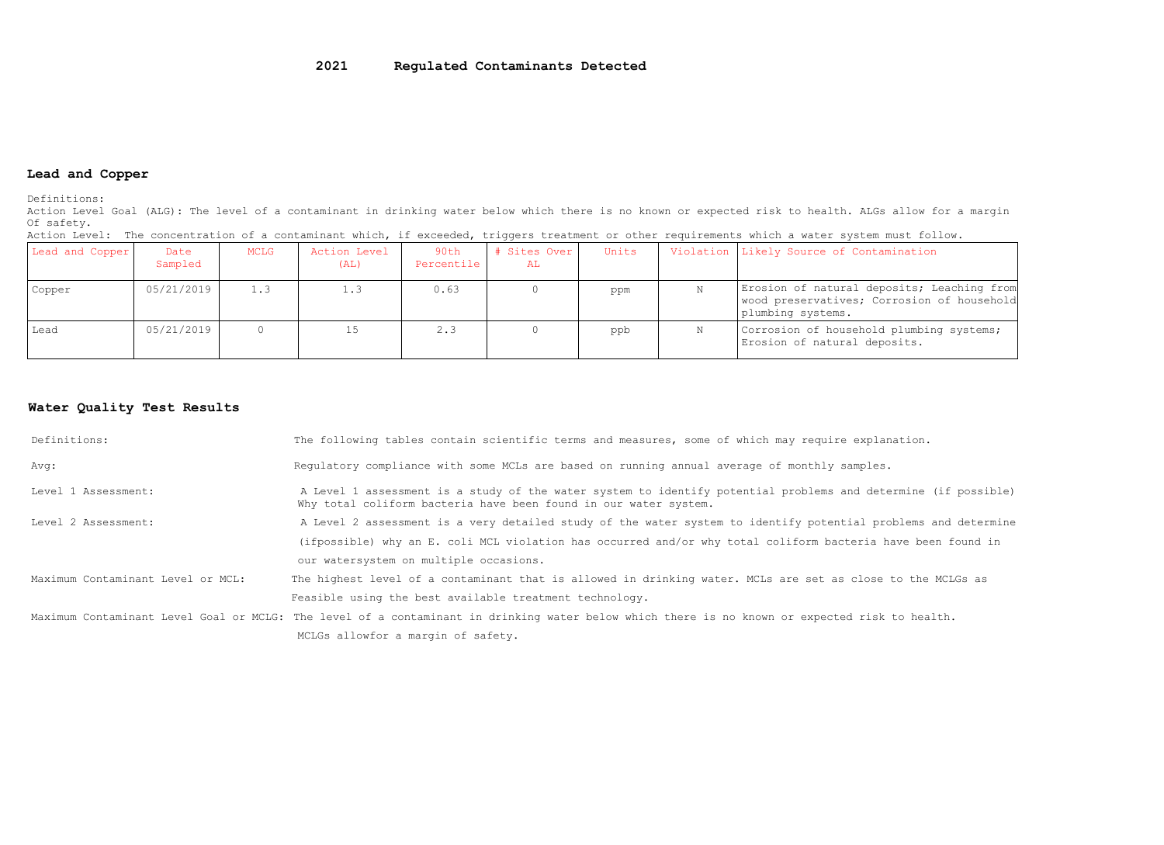## **Lead and Copper**

Definitions:

Action Level Goal (ALG): The level of a contaminant in drinking water below which there is no known or expected risk to health. ALGs allow for a margin Of safety.

| noeran meter, rue concentration er a contaminant mirant ri encedadat erradició er centralemente miran a macer eyecem mace rerrom, |                 |      |                      |                    |                    |       |                                                                                                               |
|-----------------------------------------------------------------------------------------------------------------------------------|-----------------|------|----------------------|--------------------|--------------------|-------|---------------------------------------------------------------------------------------------------------------|
| Lead and Copper                                                                                                                   | Date<br>Sampled | MCLG | Action Level<br>(AL) | 90th<br>Percentile | # Sites Over<br>AL | Units | Violation Likely Source of Contamination                                                                      |
| Copper                                                                                                                            | 05/21/2019      |      | 1.3                  | 0.63               |                    | ppm   | Erosion of natural deposits; Leaching from<br>wood preservatives; Corrosion of household<br>plumbing systems. |
| Lead                                                                                                                              | 05/21/2019      |      |                      | 2.3                |                    | ppb   | Corrosion of household plumbing systems;<br>Erosion of natural deposits.                                      |

Action Level: The concentration of a contaminant which, if exceeded, triggers treatment or other requirements which a water system must follow.

## **Water Quality Test Results**

| Definitions:                      | The following tables contain scientific terms and measures, some of which may require explanation.                                                                                 |
|-----------------------------------|------------------------------------------------------------------------------------------------------------------------------------------------------------------------------------|
| Avg:                              | Requlatory compliance with some MCLs are based on running annual average of monthly samples.                                                                                       |
| Level 1 Assessment:               | A Level 1 assessment is a study of the water system to identify potential problems and determine (if possible)<br>Why total coliform bacteria have been found in our water system. |
| Level 2 Assessment:               | A Level 2 assessment is a very detailed study of the water system to identify potential problems and determine                                                                     |
|                                   | (ifpossible) why an E. coli MCL violation has occurred and/or why total coliform bacteria have been found in                                                                       |
|                                   | our watersystem on multiple occasions.                                                                                                                                             |
| Maximum Contaminant Level or MCL: | The highest level of a contaminant that is allowed in drinking water. MCLs are set as close to the MCLGs as                                                                        |
|                                   | Feasible using the best available treatment technology.                                                                                                                            |
|                                   | Maximum Contaminant Level Goal or MCLG: The level of a contaminant in drinking water below which there is no known or expected risk to health.                                     |
|                                   | MCLGs allowfor a margin of safety.                                                                                                                                                 |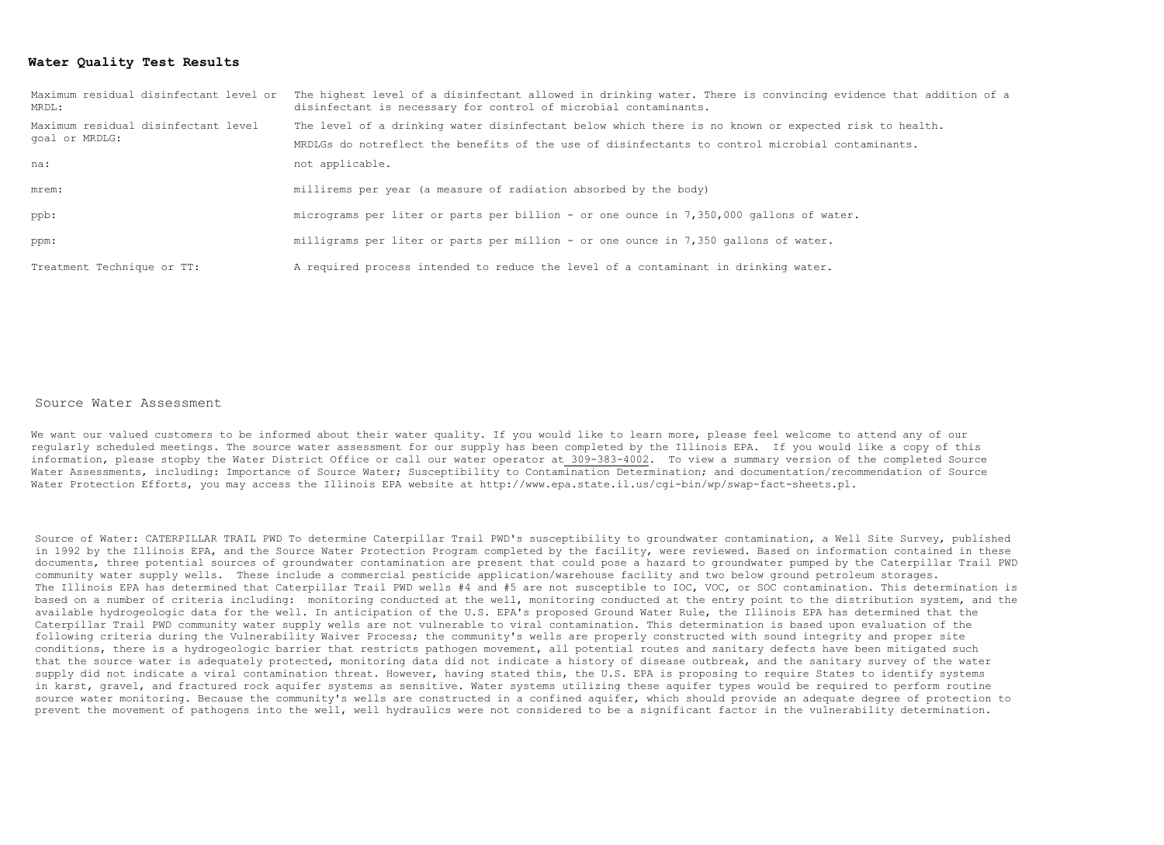### **Water Quality Test Results**

| Maximum residual disinfectant level or<br>MRDL:       | The highest level of a disinfectant allowed in drinking water. There is convincing evidence that addition of a<br>disinfectant is necessary for control of microbial contaminants. |  |  |  |  |
|-------------------------------------------------------|------------------------------------------------------------------------------------------------------------------------------------------------------------------------------------|--|--|--|--|
| Maximum residual disinfectant level<br>qoal or MRDLG: | The level of a drinking water disinfectant below which there is no known or expected risk to health.                                                                               |  |  |  |  |
|                                                       | MRDLGs do notreflect the benefits of the use of disinfectants to control microbial contaminants.                                                                                   |  |  |  |  |
| na:                                                   | not applicable.                                                                                                                                                                    |  |  |  |  |
| mrem:                                                 | millirems per year (a measure of radiation absorbed by the body)                                                                                                                   |  |  |  |  |
| ppb:                                                  | micrograms per liter or parts per billion - or one ounce in 7,350,000 gallons of water.                                                                                            |  |  |  |  |
| ppm:                                                  | milligrams per liter or parts per million - or one ounce in 7,350 gallons of water.                                                                                                |  |  |  |  |
| Treatment Technique or TT:                            | A required process intended to reduce the level of a contaminant in drinking water.                                                                                                |  |  |  |  |

#### Source Water Assessment

We want our valued customers to be informed about their water quality. If you would like to learn more, please feel welcome to attend any of our regularly scheduled meetings. The source water assessment for our supply has been completed by the Illinois EPA. If you would like a copy of this information, please stopby the Water District Office or call our water operator at 309-383-4002. To view a summary version of the completed Source Water Assessments, including: Importance of Source Water; Susceptibility to Contamination Determination; and documentation/recommendation of Source Water Protection Efforts, you may access the Illinois EPA website at [http://www.epa.state.il.us/cgi-bin/wp/swap-fact-sheets.pl.](http://www.epa.state.il.us/cgi-bin/wp/swap-fact-sheets.pl)

Source of Water: CATERPILLAR TRAIL PWD To determine Caterpillar Trail PWD's susceptibility to groundwater contamination, a Well Site Survey, published in 1992 by the Illinois EPA, and the Source Water Protection Program completed by the facility, were reviewed. Based on information contained in these documents, three potential sources of groundwater contamination are present that could pose a hazard to groundwater pumped by the Caterpillar Trail PWD community water supply wells. These include a commercial pesticide application/warehouse facility and two below ground petroleum storages. The Illinois EPA has determined that Caterpillar Trail PWD wells #4 and #5 are not susceptible to IOC, VOC, or SOC contamination. This determination is based on a number of criteria including: monitoring conducted at the well, monitoring conducted at the entry point to the distribution system, and the available hydrogeologic data for the well. In anticipation of the U.S. EPA's proposed Ground Water Rule, the Illinois EPA has determined that the Caterpillar Trail PWD community water supply wells are not vulnerable to viral contamination. This determination is based upon evaluation of the following criteria during the Vulnerability Waiver Process; the community's wells are properly constructed with sound integrity and proper site conditions, there is a hydrogeologic barrier that restricts pathogen movement, all potential routes and sanitary defects have been mitigated such that the source water is adequately protected, monitoring data did not indicate a history of disease outbreak, and the sanitary survey of the water supply did not indicate a viral contamination threat. However, having stated this, the U.S. EPA is proposing to require States to identify systems in karst, gravel, and fractured rock aquifer systems as sensitive. Water systems utilizing these aquifer types would be required to perform routine source water monitoring. Because the community's wells are constructed in a confined aquifer, which should provide an adequate degree of protection to prevent the movement of pathogens into the well, well hydraulics were not considered to be a significant factor in the vulnerability determination.